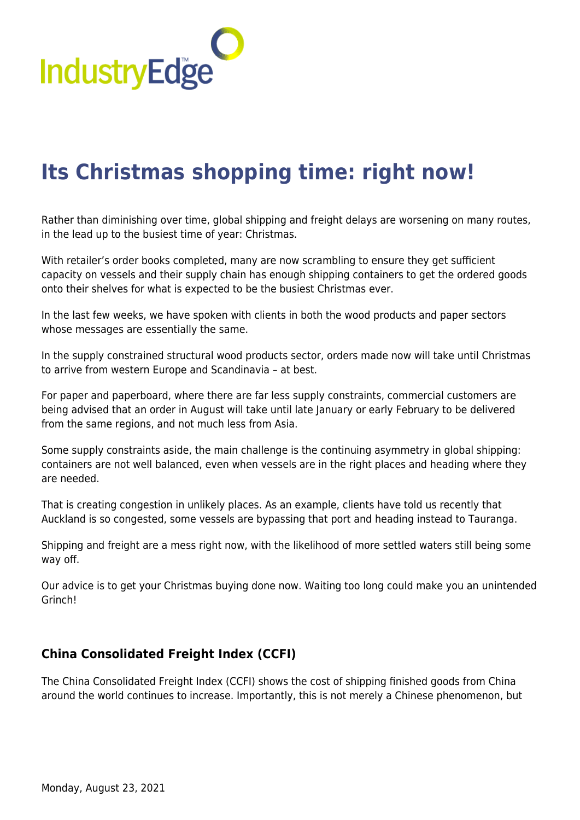

# **[Its Christmas shopping time: right now!](https://industryedge.com.au/its-christmas-shopping-time-right-now/)**

Rather than diminishing over time, global shipping and freight delays are worsening on many routes, in the lead up to the busiest time of year: Christmas.

With retailer's order books completed, many are now scrambling to ensure they get sufficient capacity on vessels and their supply chain has enough shipping containers to get the ordered goods onto their shelves for what is expected to be the busiest Christmas ever.

In the last few weeks, we have spoken with clients in both the wood products and paper sectors whose messages are essentially the same.

In the supply constrained structural wood products sector, orders made now will take until Christmas to arrive from western Europe and Scandinavia – at best.

For paper and paperboard, where there are far less supply constraints, commercial customers are being advised that an order in August will take until late January or early February to be delivered from the same regions, and not much less from Asia.

Some supply constraints aside, the main challenge is the continuing asymmetry in global shipping: containers are not well balanced, even when vessels are in the right places and heading where they are needed.

That is creating congestion in unlikely places. As an example, clients have told us recently that Auckland is so congested, some vessels are bypassing that port and heading instead to Tauranga.

Shipping and freight are a mess right now, with the likelihood of more settled waters still being some way off.

Our advice is to get your Christmas buying done now. Waiting too long could make you an unintended Grinch!

## **China Consolidated Freight Index (CCFI)**

The China Consolidated Freight Index (CCFI) shows the cost of shipping finished goods from China around the world continues to increase. Importantly, this is not merely a Chinese phenomenon, but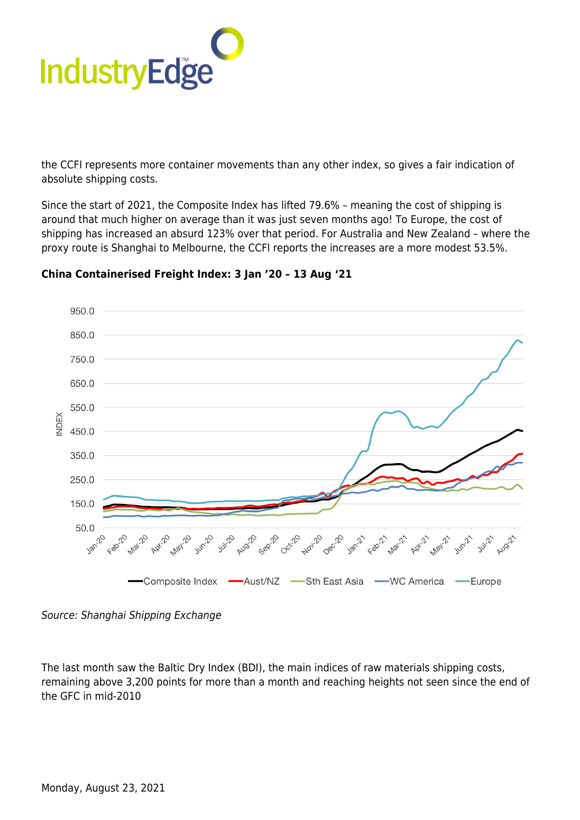

the CCFI represents more container movements than any other index, so gives a fair indication of absolute shipping costs.

Since the start of 2021, the Composite Index has lifted 79.6% – meaning the cost of shipping is around that much higher on average than it was just seven months ago! To Europe, the cost of shipping has increased an absurd 123% over that period. For Australia and New Zealand – where the proxy route is Shanghai to Melbourne, the CCFI reports the increases are a more modest 53.5%.



### **China Containerised Freight Index: 3 Jan '20 – 13 Aug '21**

The last month saw the Baltic Dry Index (BDI), the main indices of raw materials shipping costs, remaining above 3,200 points for more than a month and reaching heights not seen since the end of the GFC in mid-2010

Source: Shanghai Shipping Exchange